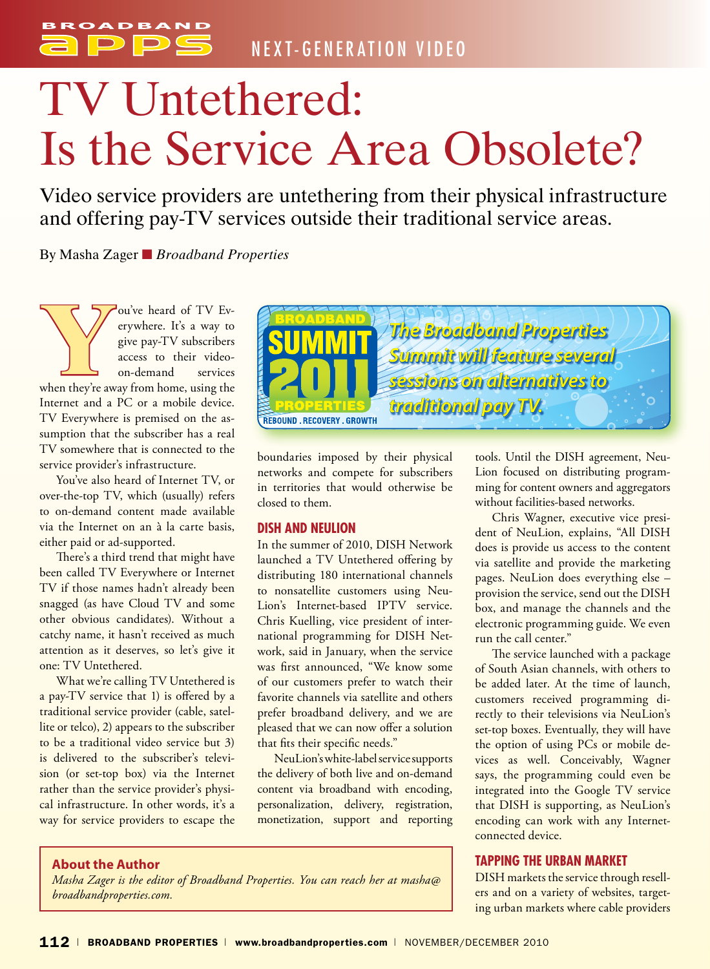

# TV Untethered: Is the Service Area Obsolete?

Video service providers are untethering from their physical infrastructure and offering pay-TV services outside their traditional service areas.

By Masha Zager ■ *Broadband Properties*

**Y**ou've heard of TV Everywhere. It's a way to give pay-TV subscribers access to their video-on-demand services when they're away from home, using the erywhere. It's a way to give pay-TV subscribers access to their videoon-demand services Internet and a PC or a mobile device. TV Everywhere is premised on the assumption that the subscriber has a real TV somewhere that is connected to the service provider's infrastructure.

You've also heard of Internet TV, or over-the-top TV, which (usually) refers to on-demand content made available via the Internet on an à la carte basis, either paid or ad-supported.

There's a third trend that might have been called TV Everywhere or Internet TV if those names hadn't already been snagged (as have Cloud TV and some other obvious candidates). Without a catchy name, it hasn't received as much attention as it deserves, so let's give it one: TV Untethered.

What we're calling TV Untethered is a pay-TV service that 1) is offered by a traditional service provider (cable, satellite or telco), 2) appears to the subscriber to be a traditional video service but 3) is delivered to the subscriber's television (or set-top box) via the Internet rather than the service provider's physical infrastructure. In other words, it's a way for service providers to escape the



boundaries imposed by their physical networks and compete for subscribers in territories that would otherwise be closed to them.

#### **DISH and NeuLion**

In the summer of 2010, DISH Network launched a TV Untethered offering by distributing 180 international channels to nonsatellite customers using Neu-Lion's Internet-based IPTV service. Chris Kuelling, vice president of international programming for DISH Network, said in January, when the service was first announced, "We know some of our customers prefer to watch their favorite channels via satellite and others prefer broadband delivery, and we are pleased that we can now offer a solution that fits their specific needs."

NeuLion's white-label service supports the delivery of both live and on-demand content via broadband with encoding, personalization, delivery, registration, monetization, support and reporting tools. Until the DISH agreement, Neu-Lion focused on distributing programming for content owners and aggregators without facilities-based networks.

Chris Wagner, executive vice president of NeuLion, explains, "All DISH does is provide us access to the content via satellite and provide the marketing pages. NeuLion does everything else – provision the service, send out the DISH box, and manage the channels and the electronic programming guide. We even run the call center."

The service launched with a package of South Asian channels, with others to be added later. At the time of launch, customers received programming directly to their televisions via NeuLion's set-top boxes. Eventually, they will have the option of using PCs or mobile devices as well. Conceivably, Wagner says, the programming could even be integrated into the Google TV service that DISH is supporting, as NeuLion's encoding can work with any Internetconnected device.

#### **Tapping the Urban Market**

DISH markets the service through resellers and on a variety of websites, targeting urban markets where cable providers

#### **About the Author**

*Masha Zager is the editor of Broadband Properties. You can reach her at masha@ broadbandproperties.com.*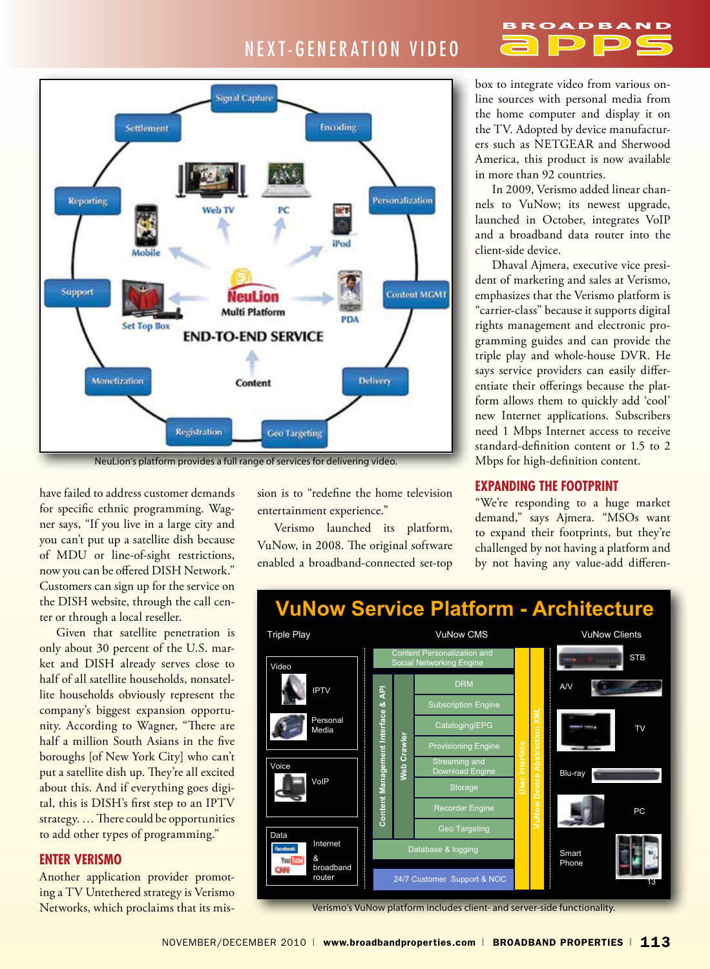### NEXT-GENERATION VIDEO

#### **Signal Capture** Encoding Settlement Personalization **Reporting** Web TV PĊ iPod Support **Content MGMT** VeuLion **Multi Platform** PDA **Set Top Box END-TO-END SERVICE** Monetization Delivery Content Registration **Geo Targeting**

NeuLion's platform provides a full range of services for delivering video.

have failed to address customer demands for specific ethnic programming. Wagner says, "If you live in a large city and you can't put up a satellite dish because of MDU or line-of-sight restrictions, now you can be offered DISH Network." Customers can sign up for the service on the DISH website, through the call center or through a local reseller.

Given that satellite penetration is only about 30 percent of the U.S. market and DISH already serves close to half of all satellite households, nonsatellite households obviously represent the company's biggest expansion opportunity. According to Wagner, "There are half a million South Asians in the five boroughs [of New York City] who can't put a satellite dish up. They're all excited about this. And if everything goes digital, this is DISH's first step to an IPTV strategy. … There could be opportunities to add other types of programming."

#### **Enter Verismo**

Another application provider promoting a TV Untethered strategy is Verismo Networks, which proclaims that its mission is to "redefine the home television entertainment experience."

Verismo launched its platform, VuNow, in 2008. The original software enabled a broadband-connected set-top box to integrate video from various online sources with personal media from the home computer and display it on the TV. Adopted by device manufacturers such as NETGEAR and Sherwood America, this product is now available in more than 92 countries.

In 2009, Verismo added linear channels to VuNow; its newest upgrade, launched in October, integrates VoIP and a broadband data router into the client-side device.

Dhaval Ajmera, executive vice president of marketing and sales at Verismo, emphasizes that the Verismo platform is "carrier-class" because it supports digital rights management and electronic programming guides and can provide the triple play and whole-house DVR. He says service providers can easily differentiate their offerings because the platform allows them to quickly add 'cool' new Internet applications. Subscribers need 1 Mbps Internet access to receive standard-definition content or 1.5 to 2 Mbps for high-definition content.

#### **Expanding the Footprint**

"We're responding to a huge market demand," says Ajmera. "MSOs want to expand their footprints, but they're challenged by not having a platform and by not having any value-add differen-



Verismo's VuNow platform includes client- and server-side functionality.

# **VuNow Service Platform - Architecture**